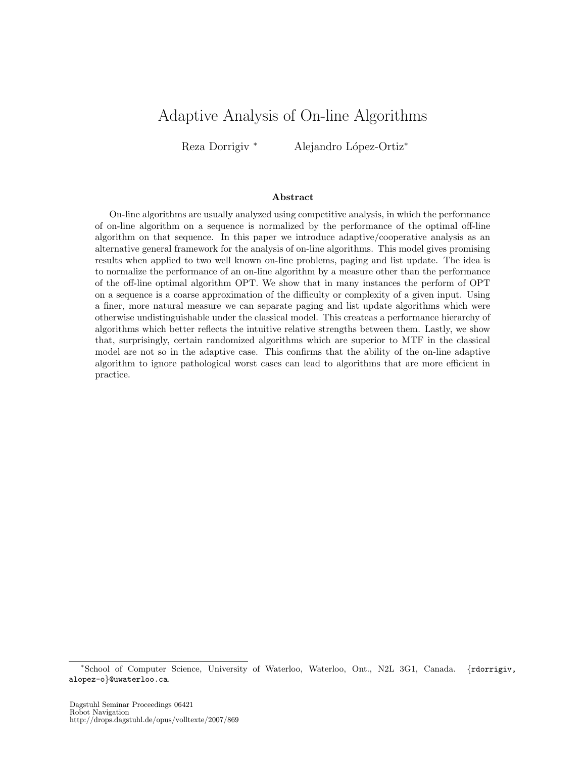# Adaptive Analysis of On-line Algorithms

Reza Dorrigiv \* Alejandro López-Ortiz<sup>\*</sup>

#### Abstract

On-line algorithms are usually analyzed using competitive analysis, in which the performance of on-line algorithm on a sequence is normalized by the performance of the optimal off-line algorithm on that sequence. In this paper we introduce adaptive/cooperative analysis as an alternative general framework for the analysis of on-line algorithms. This model gives promising results when applied to two well known on-line problems, paging and list update. The idea is to normalize the performance of an on-line algorithm by a measure other than the performance of the off-line optimal algorithm OPT. We show that in many instances the perform of OPT on a sequence is a coarse approximation of the difficulty or complexity of a given input. Using a finer, more natural measure we can separate paging and list update algorithms which were otherwise undistinguishable under the classical model. This createas a performance hierarchy of algorithms which better reflects the intuitive relative strengths between them. Lastly, we show that, surprisingly, certain randomized algorithms which are superior to MTF in the classical model are not so in the adaptive case. This confirms that the ability of the on-line adaptive algorithm to ignore pathological worst cases can lead to algorithms that are more efficient in practice.

<sup>∗</sup>School of Computer Science, University of Waterloo, Waterloo, Ont., N2L 3G1, Canada. {rdorrigiv, alopez-o}@uwaterloo.ca.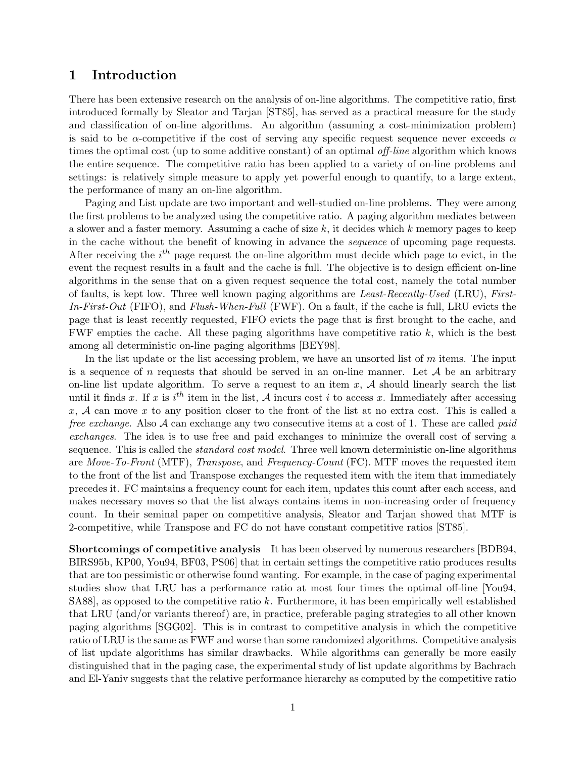## 1 Introduction

There has been extensive research on the analysis of on-line algorithms. The competitive ratio, first introduced formally by Sleator and Tarjan [ST85], has served as a practical measure for the study and classification of on-line algorithms. An algorithm (assuming a cost-minimization problem) is said to be  $\alpha$ -competitive if the cost of serving any specific request sequence never exceeds  $\alpha$ times the optimal cost (up to some additive constant) of an optimal off-line algorithm which knows the entire sequence. The competitive ratio has been applied to a variety of on-line problems and settings: is relatively simple measure to apply yet powerful enough to quantify, to a large extent, the performance of many an on-line algorithm.

Paging and List update are two important and well-studied on-line problems. They were among the first problems to be analyzed using the competitive ratio. A paging algorithm mediates between a slower and a faster memory. Assuming a cache of size  $k$ , it decides which k memory pages to keep in the cache without the benefit of knowing in advance the sequence of upcoming page requests. After receiving the  $i^{th}$  page request the on-line algorithm must decide which page to evict, in the event the request results in a fault and the cache is full. The objective is to design efficient on-line algorithms in the sense that on a given request sequence the total cost, namely the total number of faults, is kept low. Three well known paging algorithms are Least-Recently-Used (LRU), First-In-First-Out (FIFO), and Flush-When-Full (FWF). On a fault, if the cache is full, LRU evicts the page that is least recently requested, FIFO evicts the page that is first brought to the cache, and FWF empties the cache. All these paging algorithms have competitive ratio  $k$ , which is the best among all deterministic on-line paging algorithms [BEY98].

In the list update or the list accessing problem, we have an unsorted list of  $m$  items. The input is a sequence of n requests that should be served in an on-line manner. Let  $A$  be an arbitrary on-line list update algorithm. To serve a request to an item  $x$ ,  $A$  should linearly search the list until it finds x. If x is  $i^{th}$  item in the list, A incurs cost i to access x. Immediately after accessing  $x, \mathcal{A}$  can move x to any position closer to the front of the list at no extra cost. This is called a free exchange. Also A can exchange any two consecutive items at a cost of 1. These are called *paid* exchanges. The idea is to use free and paid exchanges to minimize the overall cost of serving a sequence. This is called the *standard cost model*. Three well known deterministic on-line algorithms are Move-To-Front (MTF), Transpose, and Frequency-Count (FC). MTF moves the requested item to the front of the list and Transpose exchanges the requested item with the item that immediately precedes it. FC maintains a frequency count for each item, updates this count after each access, and makes necessary moves so that the list always contains items in non-increasing order of frequency count. In their seminal paper on competitive analysis, Sleator and Tarjan showed that MTF is 2-competitive, while Transpose and FC do not have constant competitive ratios [ST85].

Shortcomings of competitive analysis It has been observed by numerous researchers [BDB94, BIRS95b, KP00, You94, BF03, PS06] that in certain settings the competitive ratio produces results that are too pessimistic or otherwise found wanting. For example, in the case of paging experimental studies show that LRU has a performance ratio at most four times the optimal off-line [You94, SA88], as opposed to the competitive ratio k. Furthermore, it has been empirically well established that LRU (and/or variants thereof) are, in practice, preferable paging strategies to all other known paging algorithms [SGG02]. This is in contrast to competitive analysis in which the competitive ratio of LRU is the same as FWF and worse than some randomized algorithms. Competitive analysis of list update algorithms has similar drawbacks. While algorithms can generally be more easily distinguished that in the paging case, the experimental study of list update algorithms by Bachrach and El-Yaniv suggests that the relative performance hierarchy as computed by the competitive ratio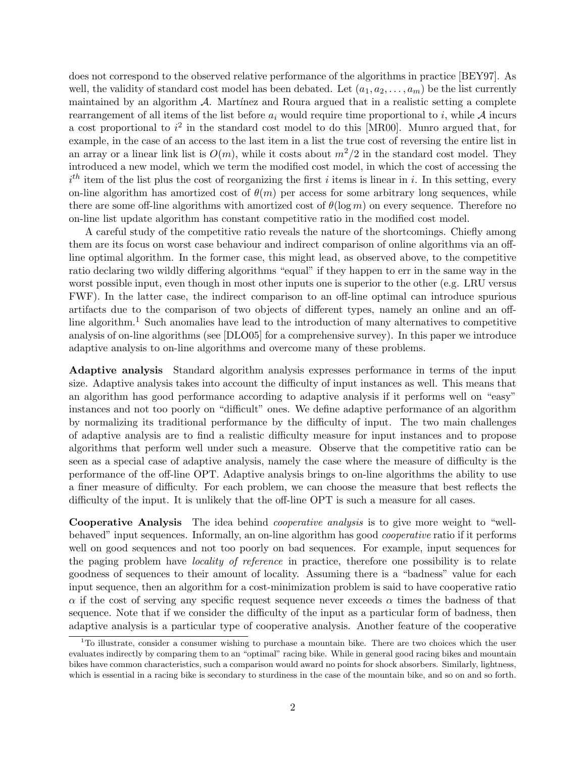does not correspond to the observed relative performance of the algorithms in practice [BEY97]. As well, the validity of standard cost model has been debated. Let  $(a_1, a_2, \ldots, a_m)$  be the list currently maintained by an algorithm  $A$ . Martinez and Roura argued that in a realistic setting a complete rearrangement of all items of the list before  $a_i$  would require time proportional to i, while A incurs a cost proportional to  $i^2$  in the standard cost model to do this [MR00]. Munro argued that, for example, in the case of an access to the last item in a list the true cost of reversing the entire list in an array or a linear link list is  $O(m)$ , while it costs about  $m^2/2$  in the standard cost model. They introduced a new model, which we term the modified cost model, in which the cost of accessing the  $i<sup>th</sup>$  item of the list plus the cost of reorganizing the first i items is linear in i. In this setting, every on-line algorithm has amortized cost of  $\theta(m)$  per access for some arbitrary long sequences, while there are some off-line algorithms with amortized cost of  $\theta(\log m)$  on every sequence. Therefore no on-line list update algorithm has constant competitive ratio in the modified cost model.

A careful study of the competitive ratio reveals the nature of the shortcomings. Chiefly among them are its focus on worst case behaviour and indirect comparison of online algorithms via an offline optimal algorithm. In the former case, this might lead, as observed above, to the competitive ratio declaring two wildly differing algorithms "equal" if they happen to err in the same way in the worst possible input, even though in most other inputs one is superior to the other (e.g. LRU versus FWF). In the latter case, the indirect comparison to an off-line optimal can introduce spurious artifacts due to the comparison of two objects of different types, namely an online and an offline algorithm.<sup>1</sup> Such anomalies have lead to the introduction of many alternatives to competitive analysis of on-line algorithms (see [DLO05] for a comprehensive survey). In this paper we introduce adaptive analysis to on-line algorithms and overcome many of these problems.

Adaptive analysis Standard algorithm analysis expresses performance in terms of the input size. Adaptive analysis takes into account the difficulty of input instances as well. This means that an algorithm has good performance according to adaptive analysis if it performs well on "easy" instances and not too poorly on "difficult" ones. We define adaptive performance of an algorithm by normalizing its traditional performance by the difficulty of input. The two main challenges of adaptive analysis are to find a realistic difficulty measure for input instances and to propose algorithms that perform well under such a measure. Observe that the competitive ratio can be seen as a special case of adaptive analysis, namely the case where the measure of difficulty is the performance of the off-line OPT. Adaptive analysis brings to on-line algorithms the ability to use a finer measure of difficulty. For each problem, we can choose the measure that best reflects the difficulty of the input. It is unlikely that the off-line OPT is such a measure for all cases.

Cooperative Analysis The idea behind cooperative analysis is to give more weight to "wellbehaved" input sequences. Informally, an on-line algorithm has good cooperative ratio if it performs well on good sequences and not too poorly on bad sequences. For example, input sequences for the paging problem have locality of reference in practice, therefore one possibility is to relate goodness of sequences to their amount of locality. Assuming there is a "badness" value for each input sequence, then an algorithm for a cost-minimization problem is said to have cooperative ratio  $\alpha$  if the cost of serving any specific request sequence never exceeds  $\alpha$  times the badness of that sequence. Note that if we consider the difficulty of the input as a particular form of badness, then adaptive analysis is a particular type of cooperative analysis. Another feature of the cooperative

 $1$ To illustrate, consider a consumer wishing to purchase a mountain bike. There are two choices which the user evaluates indirectly by comparing them to an "optimal" racing bike. While in general good racing bikes and mountain bikes have common characteristics, such a comparison would award no points for shock absorbers. Similarly, lightness, which is essential in a racing bike is secondary to sturdiness in the case of the mountain bike, and so on and so forth.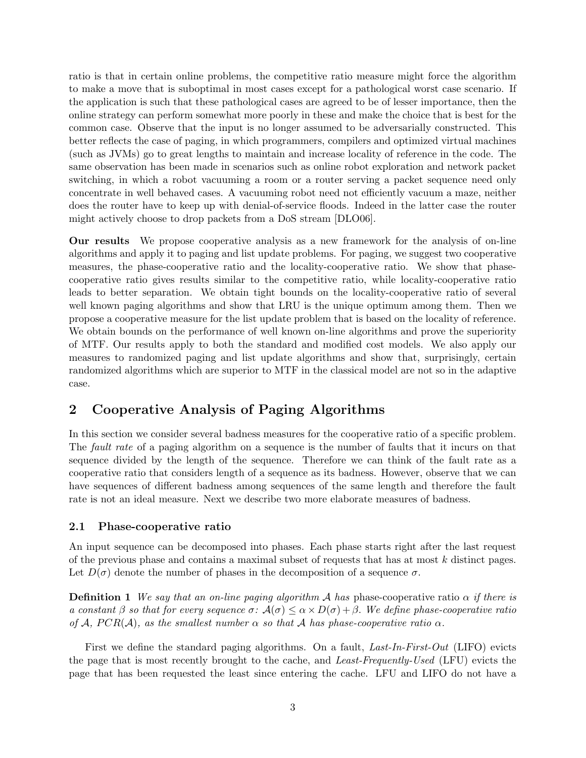ratio is that in certain online problems, the competitive ratio measure might force the algorithm to make a move that is suboptimal in most cases except for a pathological worst case scenario. If the application is such that these pathological cases are agreed to be of lesser importance, then the online strategy can perform somewhat more poorly in these and make the choice that is best for the common case. Observe that the input is no longer assumed to be adversarially constructed. This better reflects the case of paging, in which programmers, compilers and optimized virtual machines (such as JVMs) go to great lengths to maintain and increase locality of reference in the code. The same observation has been made in scenarios such as online robot exploration and network packet switching, in which a robot vacuuming a room or a router serving a packet sequence need only concentrate in well behaved cases. A vacuuming robot need not efficiently vacuum a maze, neither does the router have to keep up with denial-of-service floods. Indeed in the latter case the router might actively choose to drop packets from a DoS stream [DLO06].

Our results We propose cooperative analysis as a new framework for the analysis of on-line algorithms and apply it to paging and list update problems. For paging, we suggest two cooperative measures, the phase-cooperative ratio and the locality-cooperative ratio. We show that phasecooperative ratio gives results similar to the competitive ratio, while locality-cooperative ratio leads to better separation. We obtain tight bounds on the locality-cooperative ratio of several well known paging algorithms and show that LRU is the unique optimum among them. Then we propose a cooperative measure for the list update problem that is based on the locality of reference. We obtain bounds on the performance of well known on-line algorithms and prove the superiority of MTF. Our results apply to both the standard and modified cost models. We also apply our measures to randomized paging and list update algorithms and show that, surprisingly, certain randomized algorithms which are superior to MTF in the classical model are not so in the adaptive case.

## 2 Cooperative Analysis of Paging Algorithms

In this section we consider several badness measures for the cooperative ratio of a specific problem. The *fault rate* of a paging algorithm on a sequence is the number of faults that it incurs on that sequence divided by the length of the sequence. Therefore we can think of the fault rate as a cooperative ratio that considers length of a sequence as its badness. However, observe that we can have sequences of different badness among sequences of the same length and therefore the fault rate is not an ideal measure. Next we describe two more elaborate measures of badness.

### 2.1 Phase-cooperative ratio

An input sequence can be decomposed into phases. Each phase starts right after the last request of the previous phase and contains a maximal subset of requests that has at most k distinct pages. Let  $D(\sigma)$  denote the number of phases in the decomposition of a sequence  $\sigma$ .

**Definition 1** We say that an on-line paging algorithm A has phase-cooperative ratio  $\alpha$  if there is a constant  $\beta$  so that for every sequence  $\sigma: \mathcal{A}(\sigma) \leq \alpha \times D(\sigma) + \beta$ . We define phase-cooperative ratio of A,  $PCR(\mathcal{A})$ , as the smallest number  $\alpha$  so that A has phase-cooperative ratio  $\alpha$ .

First we define the standard paging algorithms. On a fault, Last-In-First-Out (LIFO) evicts the page that is most recently brought to the cache, and *Least-Frequently-Used* (LFU) evicts the page that has been requested the least since entering the cache. LFU and LIFO do not have a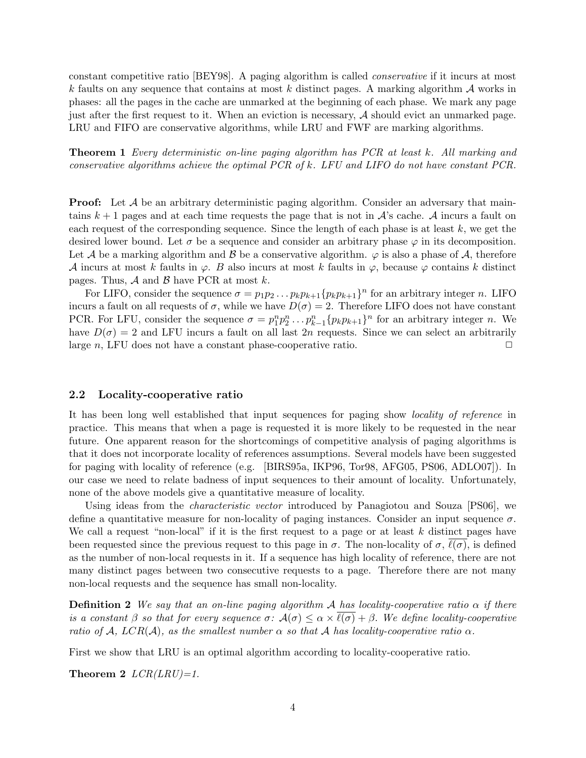constant competitive ratio [BEY98]. A paging algorithm is called conservative if it incurs at most k faults on any sequence that contains at most k distinct pages. A marking algorithm  $\mathcal A$  works in phases: all the pages in the cache are unmarked at the beginning of each phase. We mark any page just after the first request to it. When an eviction is necessary, A should evict an unmarked page. LRU and FIFO are conservative algorithms, while LRU and FWF are marking algorithms.

Theorem 1 Every deterministic on-line paging algorithm has PCR at least k. All marking and conservative algorithms achieve the optimal PCR of k. LFU and LIFO do not have constant PCR.

**Proof:** Let A be an arbitrary deterministic paging algorithm. Consider an adversary that maintains  $k+1$  pages and at each time requests the page that is not in  $\mathcal{A}$ 's cache.  $\mathcal{A}$  incurs a fault on each request of the corresponding sequence. Since the length of each phase is at least  $k$ , we get the desired lower bound. Let  $\sigma$  be a sequence and consider an arbitrary phase  $\varphi$  in its decomposition. Let A be a marking algorithm and B be a conservative algorithm.  $\varphi$  is also a phase of A, therefore A incurs at most k faults in  $\varphi$ . B also incurs at most k faults in  $\varphi$ , because  $\varphi$  contains k distinct pages. Thus,  $\mathcal A$  and  $\mathcal B$  have PCR at most k.

For LIFO, consider the sequence  $\sigma = p_1 p_2 \dots p_k p_{k+1} \{p_k p_{k+1}\}^n$  for an arbitrary integer n. LIFO incurs a fault on all requests of  $\sigma$ , while we have  $D(\sigma) = 2$ . Therefore LIFO does not have constant PCR. For LFU, consider the sequence  $\sigma = p_1^n p_2^n \dots p_{k-1}^n \{p_k p_{k+1}\}^n$  for an arbitrary integer *n*. We have  $D(\sigma) = 2$  and LFU incurs a fault on all last  $2n$  requests. Since we can select an arbitrarily large n, LFU does not have a constant phase-cooperative ratio.  $\Box$ 

#### 2.2 Locality-cooperative ratio

It has been long well established that input sequences for paging show locality of reference in practice. This means that when a page is requested it is more likely to be requested in the near future. One apparent reason for the shortcomings of competitive analysis of paging algorithms is that it does not incorporate locality of references assumptions. Several models have been suggested for paging with locality of reference (e.g. [BIRS95a, IKP96, Tor98, AFG05, PS06, ADLO07]). In our case we need to relate badness of input sequences to their amount of locality. Unfortunately, none of the above models give a quantitative measure of locality.

Using ideas from the *characteristic vector* introduced by Panagiotou and Souza [PS06], we define a quantitative measure for non-locality of paging instances. Consider an input sequence  $\sigma$ . We call a request "non-local" if it is the first request to a page or at least  $k$  distinct pages have been requested since the previous request to this page in  $\sigma$ . The non-locality of  $\sigma$ ,  $\ell(\sigma)$ , is defined as the number of non-local requests in it. If a sequence has high locality of reference, there are not many distinct pages between two consecutive requests to a page. Therefore there are not many non-local requests and the sequence has small non-locality.

**Definition 2** We say that an on-line paging algorithm A has locality-cooperative ratio  $\alpha$  if there is a constant  $\beta$  so that for every sequence  $\sigma: \mathcal{A}(\sigma) \leq \alpha \times \ell(\sigma) + \beta$ . We define locality-cooperative ratio of A,  $LCR(\mathcal{A})$ , as the smallest number  $\alpha$  so that A has locality-cooperative ratio  $\alpha$ .

First we show that LRU is an optimal algorithm according to locality-cooperative ratio.

Theorem 2  $LCR(LRU)=1$ .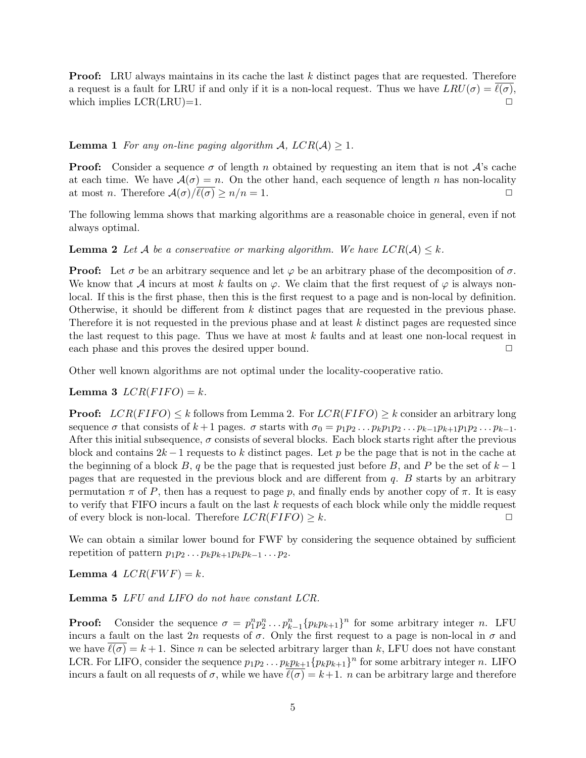**Proof:** LRU always maintains in its cache the last k distinct pages that are requested. Therefore a request is a fault for LRU if and only if it is a non-local request. Thus we have  $LRU(\sigma) = \ell(\sigma)$ , which implies  $LCR(LRU)=1$ .

### **Lemma 1** For any on-line paging algorithm A,  $LCR(A) \geq 1$ .

**Proof:** Consider a sequence  $\sigma$  of length n obtained by requesting an item that is not  $\mathcal{A}$ 's cache at each time. We have  $\mathcal{A}(\sigma) = n$ . On the other hand, each sequence of length n has non-locality at most *n*. Therefore  $\mathcal{A}(\sigma)/\ell(\sigma) \geq n/n = 1$ .

The following lemma shows that marking algorithms are a reasonable choice in general, even if not always optimal.

**Lemma 2** Let A be a conservative or marking algorithm. We have  $LCR(A) \leq k$ .

**Proof:** Let  $\sigma$  be an arbitrary sequence and let  $\varphi$  be an arbitrary phase of the decomposition of  $\sigma$ . We know that A incurs at most k faults on  $\varphi$ . We claim that the first request of  $\varphi$  is always nonlocal. If this is the first phase, then this is the first request to a page and is non-local by definition. Otherwise, it should be different from  $k$  distinct pages that are requested in the previous phase. Therefore it is not requested in the previous phase and at least k distinct pages are requested since the last request to this page. Thus we have at most  $k$  faults and at least one non-local request in each phase and this proves the desired upper bound.  $\Box$ 

Other well known algorithms are not optimal under the locality-cooperative ratio.

Lemma 3  $LCR(FIFO) = k$ .

**Proof:**  $LCR(FIFO) \leq k$  follows from Lemma 2. For  $LCR(FIFO) \geq k$  consider an arbitrary long sequence  $\sigma$  that consists of  $k+1$  pages.  $\sigma$  starts with  $\sigma_0 = p_1p_2 \dots p_k p_1p_2 \dots p_{k-1}p_{k+1}p_1p_2 \dots p_{k-1}$ . After this initial subsequence,  $\sigma$  consists of several blocks. Each block starts right after the previous block and contains  $2k-1$  requests to k distinct pages. Let p be the page that is not in the cache at the beginning of a block B, q be the page that is requested just before B, and P be the set of  $k-1$ pages that are requested in the previous block and are different from q. B starts by an arbitrary permutation  $\pi$  of P, then has a request to page p, and finally ends by another copy of  $\pi$ . It is easy to verify that FIFO incurs a fault on the last k requests of each block while only the middle request of every block is non-local. Therefore  $LCR(FIFO) \geq k$ .

We can obtain a similar lower bound for FWF by considering the sequence obtained by sufficient repetition of pattern  $p_1p_2 \ldots p_kp_{k+1}p_kp_{k-1} \ldots p_2$ .

Lemma 4  $LCR(FWF) = k$ .

Lemma 5 LFU and LIFO do not have constant LCR.

**Proof:** Consider the sequence  $\sigma = p_1^n p_2^n \dots p_{k-1}^n \{p_k p_{k+1}\}^n$  for some arbitrary integer *n*. LFU incurs a fault on the last 2n requests of  $\sigma$ . Only the first request to a page is non-local in  $\sigma$  and we have  $\ell(\sigma) = k + 1$ . Since n can be selected arbitrary larger than k, LFU does not have constant LCR. For LIFO, consider the sequence  $p_1p_2 \ldots p_k p_{k+1} \{p_kp_{k+1}\}^n$  for some arbitrary integer n. LIFO incurs a fault on all requests of  $\sigma$ , while we have  $\ell(\sigma) = k+1$ . n can be arbitrary large and therefore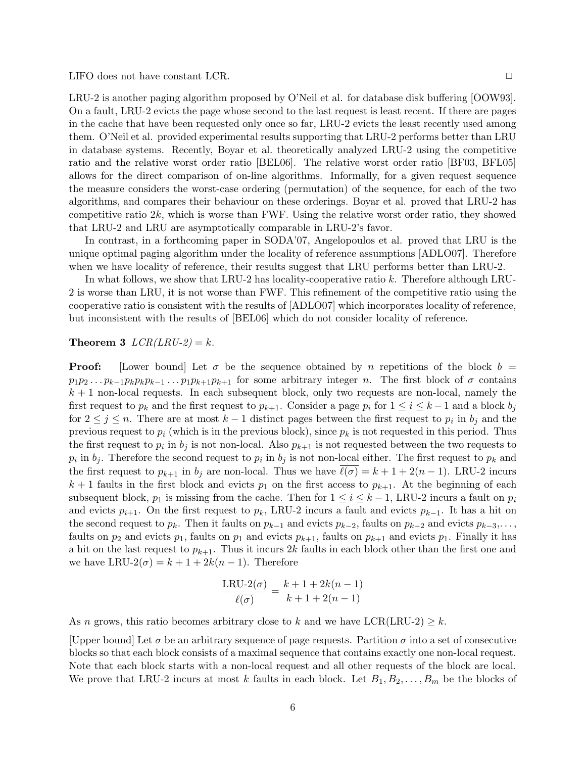LIFO does not have constant LCR. ◯

LRU-2 is another paging algorithm proposed by O'Neil et al. for database disk buffering [OOW93]. On a fault, LRU-2 evicts the page whose second to the last request is least recent. If there are pages in the cache that have been requested only once so far, LRU-2 evicts the least recently used among them. O'Neil et al. provided experimental results supporting that LRU-2 performs better than LRU in database systems. Recently, Boyar et al. theoretically analyzed LRU-2 using the competitive ratio and the relative worst order ratio [BEL06]. The relative worst order ratio [BF03, BFL05] allows for the direct comparison of on-line algorithms. Informally, for a given request sequence the measure considers the worst-case ordering (permutation) of the sequence, for each of the two algorithms, and compares their behaviour on these orderings. Boyar et al. proved that LRU-2 has competitive ratio  $2k$ , which is worse than FWF. Using the relative worst order ratio, they showed that LRU-2 and LRU are asymptotically comparable in LRU-2's favor.

In contrast, in a forthcoming paper in SODA'07, Angelopoulos et al. proved that LRU is the unique optimal paging algorithm under the locality of reference assumptions [ADLO07]. Therefore when we have locality of reference, their results suggest that LRU performs better than LRU-2.

In what follows, we show that LRU-2 has locality-cooperative ratio k. Therefore although LRU-2 is worse than LRU, it is not worse than FWF. This refinement of the competitive ratio using the cooperative ratio is consistent with the results of [ADLO07] which incorporates locality of reference, but inconsistent with the results of [BEL06] which do not consider locality of reference.

#### **Theorem 3**  $LCR(LRU-2) = k$ .

**Proof:** [Lower bound] Let  $\sigma$  be the sequence obtained by n repetitions of the block  $b =$  $p_1p_2...p_{k-1}p_kp_kp_{k-1}...p_1p_{k+1}p_{k+1}$  for some arbitrary integer n. The first block of  $\sigma$  contains  $k + 1$  non-local requests. In each subsequent block, only two requests are non-local, namely the first request to  $p_k$  and the first request to  $p_{k+1}$ . Consider a page  $p_i$  for  $1 \le i \le k-1$  and a block  $b_j$ for  $2 \leq j \leq n$ . There are at most  $k-1$  distinct pages between the first request to  $p_i$  in  $b_j$  and the previous request to  $p_i$  (which is in the previous block), since  $p_k$  is not requested in this period. Thus the first request to  $p_i$  in  $b_j$  is not non-local. Also  $p_{k+1}$  is not requested between the two requests to  $p_i$  in  $b_j$ . Therefore the second request to  $p_i$  in  $b_j$  is not non-local either. The first request to  $p_k$  and the first request to  $p_{k+1}$  in  $b_j$  are non-local. Thus we have  $\ell(\sigma) = k + 1 + 2(n - 1)$ . LRU-2 incurs  $k+1$  faults in the first block and evicts  $p_1$  on the first access to  $p_{k+1}$ . At the beginning of each subsequent block,  $p_1$  is missing from the cache. Then for  $1 \leq i \leq k-1$ , LRU-2 incurs a fault on  $p_i$ and evicts  $p_{i+1}$ . On the first request to  $p_k$ , LRU-2 incurs a fault and evicts  $p_{k-1}$ . It has a hit on the second request to  $p_k$ . Then it faults on  $p_{k-1}$  and evicts  $p_{k-2}$ , faults on  $p_{k-2}$  and evicts  $p_{k-3}$ ,... faults on  $p_2$  and evicts  $p_1$ , faults on  $p_1$  and evicts  $p_{k+1}$ , faults on  $p_{k+1}$  and evicts  $p_1$ . Finally it has a hit on the last request to  $p_{k+1}$ . Thus it incurs 2k faults in each block other than the first one and we have LRU- $2(\sigma) = k + 1 + 2k(n - 1)$ . Therefore

$$
\frac{\text{LRU-2}(\sigma)}{\ell(\sigma)} = \frac{k+1+2k(n-1)}{k+1+2(n-1)}
$$

As n grows, this ratio becomes arbitrary close to k and we have LCR(LRU-2)  $\geq k$ .

[Upper bound] Let  $\sigma$  be an arbitrary sequence of page requests. Partition  $\sigma$  into a set of consecutive blocks so that each block consists of a maximal sequence that contains exactly one non-local request. Note that each block starts with a non-local request and all other requests of the block are local. We prove that LRU-2 incurs at most k faults in each block. Let  $B_1, B_2, \ldots, B_m$  be the blocks of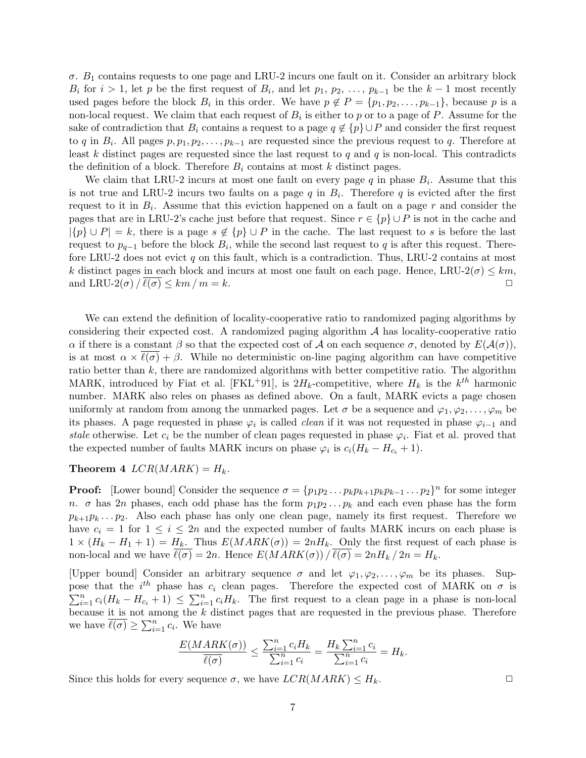$\sigma$ .  $B_1$  contains requests to one page and LRU-2 incurs one fault on it. Consider an arbitrary block  $B_i$  for  $i > 1$ , let p be the first request of  $B_i$ , and let  $p_1, p_2, \ldots, p_{k-1}$  be the  $k-1$  most recently used pages before the block  $B_i$  in this order. We have  $p \notin P = \{p_1, p_2, \ldots, p_{k-1}\},$  because p is a non-local request. We claim that each request of  $B_i$  is either to p or to a page of P. Assume for the sake of contradiction that  $B_i$  contains a request to a page  $q \notin \{p\} \cup P$  and consider the first request to q in  $B_i$ . All pages  $p, p_1, p_2, \ldots, p_{k-1}$  are requested since the previous request to q. Therefore at least k distinct pages are requested since the last request to q and q is non-local. This contradicts the definition of a block. Therefore  $B_i$  contains at most k distinct pages.

We claim that LRU-2 incurs at most one fault on every page  $q$  in phase  $B_i$ . Assume that this is not true and LRU-2 incurs two faults on a page  $q$  in  $B_i$ . Therefore  $q$  is evicted after the first request to it in  $B_i$ . Assume that this eviction happened on a fault on a page r and consider the pages that are in LRU-2's cache just before that request. Since  $r \in \{p\} \cup P$  is not in the cache and  $|\{p\} \cup P| = k$ , there is a page  $s \notin \{p\} \cup P$  in the cache. The last request to s is before the last request to  $p_{q-1}$  before the block  $B_i$ , while the second last request to q is after this request. Therefore LRU-2 does not evict  $q$  on this fault, which is a contradiction. Thus, LRU-2 contains at most k distinct pages in each block and incurs at most one fault on each page. Hence, LRU-2( $\sigma$ )  $\leq$  km, and LRU-2( $\sigma$ )  $\sqrt{\ell(\sigma)} \leq km/m = k$ .

We can extend the definition of locality-cooperative ratio to randomized paging algorithms by considering their expected cost. A randomized paging algorithm  $A$  has locality-cooperative ratio α if there is a constant β so that the expected cost of A on each sequence  $\sigma$ , denoted by  $E(\mathcal{A}(\sigma))$ , is at most  $\alpha \times \ell(\sigma) + \beta$ . While no deterministic on-line paging algorithm can have competitive ratio better than  $k$ , there are randomized algorithms with better competitive ratio. The algorithm MARK, introduced by Fiat et al. [FKL<sup>+91]</sup>, is  $2H_k$ -competitive, where  $H_k$  is the  $k^{th}$  harmonic number. MARK also reles on phases as defined above. On a fault, MARK evicts a page chosen uniformly at random from among the unmarked pages. Let  $\sigma$  be a sequence and  $\varphi_1, \varphi_2, \ldots, \varphi_m$  be its phases. A page requested in phase  $\varphi_i$  is called *clean* if it was not requested in phase  $\varphi_{i-1}$  and stale otherwise. Let  $c_i$  be the number of clean pages requested in phase  $\varphi_i$ . Fiat et al. proved that the expected number of faults MARK incurs on phase  $\varphi_i$  is  $c_i(H_k - H_{c_i} + 1)$ .

#### **Theorem 4**  $LCR(MARK) = H_k$ .

**Proof:** [Lower bound] Consider the sequence  $\sigma = \{p_1p_2 \dots p_kp_{k+1}p_kp_{k-1} \dots p_2\}^n$  for some integer n.  $\sigma$  has 2n phases, each odd phase has the form  $p_1p_2 \ldots p_k$  and each even phase has the form  $p_{k+1}p_k \ldots p_2$ . Also each phase has only one clean page, namely its first request. Therefore we have  $c_i = 1$  for  $1 \leq i \leq 2n$  and the expected number of faults MARK incurs on each phase is  $1 \times (H_k - H_1 + 1) = H_k$ . Thus  $E(MARK(\sigma)) = 2nH_k$ . Only the first request of each phase is non-local and we have  $\overline{\ell(\sigma)} = 2n$ . Hence  $E(MARK(\sigma))/\overline{\ell(\sigma)} = 2nH_k/2n = H_k$ .

[Upper bound] Consider an arbitrary sequence  $\sigma$  and let  $\varphi_1, \varphi_2, \ldots, \varphi_m$  be its phases. Suppose that the  $i^{th}$  phase has  $c_i$  clean pages. Therefore the expected cost of MARK on  $\sigma$  is  $\sum_{i=1}^{n} c_i (H_k - H_{c_i} + 1) \leq \sum_{i=1}^{n} c_i H_k$ . The first request to a clean page in a phase is non-local because it is not among the  $k$  distinct pages that are requested in the previous phase. Therefore we have  $\overline{\ell(\sigma)} \geq \sum_{i=1}^n c_i$ . We have

$$
\frac{E(MARK(\sigma))}{\ell(\sigma)} \le \frac{\sum_{i=1}^n c_i H_k}{\sum_{i=1}^n c_i} = \frac{H_k \sum_{i=1}^n c_i}{\sum_{i=1}^n c_i} = H_k.
$$

Since this holds for every sequence  $\sigma$ , we have  $LCR(MARK) \leq H_k$ .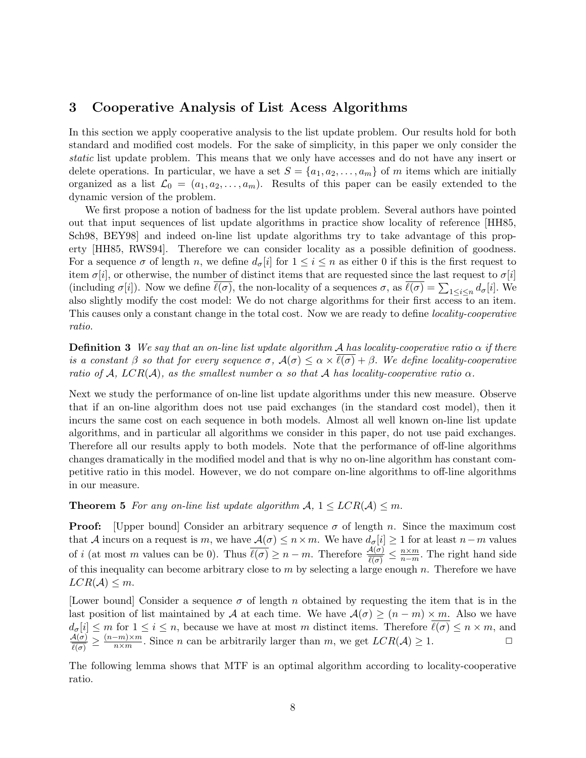## 3 Cooperative Analysis of List Acess Algorithms

In this section we apply cooperative analysis to the list update problem. Our results hold for both standard and modified cost models. For the sake of simplicity, in this paper we only consider the static list update problem. This means that we only have accesses and do not have any insert or delete operations. In particular, we have a set  $S = \{a_1, a_2, \ldots, a_m\}$  of m items which are initially organized as a list  $\mathcal{L}_0 = (a_1, a_2, \ldots, a_m)$ . Results of this paper can be easily extended to the dynamic version of the problem.

We first propose a notion of badness for the list update problem. Several authors have pointed out that input sequences of list update algorithms in practice show locality of reference [HH85, Sch98, BEY98] and indeed on-line list update algorithms try to take advantage of this property [HH85, RWS94]. Therefore we can consider locality as a possible definition of goodness. For a sequence  $\sigma$  of length n, we define  $d_{\sigma}[i]$  for  $1 \leq i \leq n$  as either 0 if this is the first request to item  $\sigma[i]$ , or otherwise, the number of distinct items that are requested since the last request to  $\sigma[i]$ (including  $\sigma[i]$ ). Now we define  $\ell(\sigma)$ , the non-locality of a sequences  $\sigma$ , as  $\ell(\sigma) = \sum_{1 \leq i \leq n} d_{\sigma}[i]$ . We also slightly modify the cost model: We do not charge algorithms for their first access to an item. This causes only a constant change in the total cost. Now we are ready to define *locality-cooperative* ratio.

**Definition 3** We say that an on-line list update algorithm A has locality-cooperative ratio  $\alpha$  if there is a constant  $\beta$  so that for every sequence  $\sigma$ ,  $\mathcal{A}(\sigma) \leq \alpha \times \overline{\ell(\sigma)} + \beta$ . We define locality-cooperative ratio of A,  $LCR(\mathcal{A})$ , as the smallest number  $\alpha$  so that A has locality-cooperative ratio  $\alpha$ .

Next we study the performance of on-line list update algorithms under this new measure. Observe that if an on-line algorithm does not use paid exchanges (in the standard cost model), then it incurs the same cost on each sequence in both models. Almost all well known on-line list update algorithms, and in particular all algorithms we consider in this paper, do not use paid exchanges. Therefore all our results apply to both models. Note that the performance of off-line algorithms changes dramatically in the modified model and that is why no on-line algorithm has constant competitive ratio in this model. However, we do not compare on-line algorithms to off-line algorithms in our measure.

### **Theorem 5** For any on-line list update algorithm  $A, 1 \leq LCR(A) \leq m$ .

**Proof:** [Upper bound] Consider an arbitrary sequence  $\sigma$  of length n. Since the maximum cost that A incurs on a request is m, we have  $\mathcal{A}(\sigma) \leq n \times m$ . We have  $d_{\sigma}[i] \geq 1$  for at least  $n-m$  values of i (at most m values can be 0). Thus  $\overline{\ell(\sigma)} \geq n-m$ . Therefore  $\frac{A(\sigma)}{\ell(\sigma)} \leq \frac{n \times m}{n-m}$  $\frac{n \times m}{n-m}$ . The right hand side of this inequality can become arbitrary close to  $m$  by selecting a large enough  $n$ . Therefore we have  $LCR(\mathcal{A}) \leq m$ .

[Lower bound] Consider a sequence  $\sigma$  of length n obtained by requesting the item that is in the last position of list maintained by A at each time. We have  $A(\sigma) \ge (n-m) \times m$ . Also we have  $d_{\sigma}[i] \leq m$  for  $1 \leq i \leq n$ , because we have at most m distinct items. Therefore  $\ell(\sigma) \leq n \times m$ , and  $\mathcal{A}(\sigma)$  $\frac{A(\sigma)}{\ell(\sigma)} \geq \frac{(n-m)\times m}{n\times m}$  $\frac{-m}\max_{n \times m}$ . Since *n* can be arbitrarily larger than *m*, we get  $LCR(\mathcal{A}) \geq 1$ .

The following lemma shows that MTF is an optimal algorithm according to locality-cooperative ratio.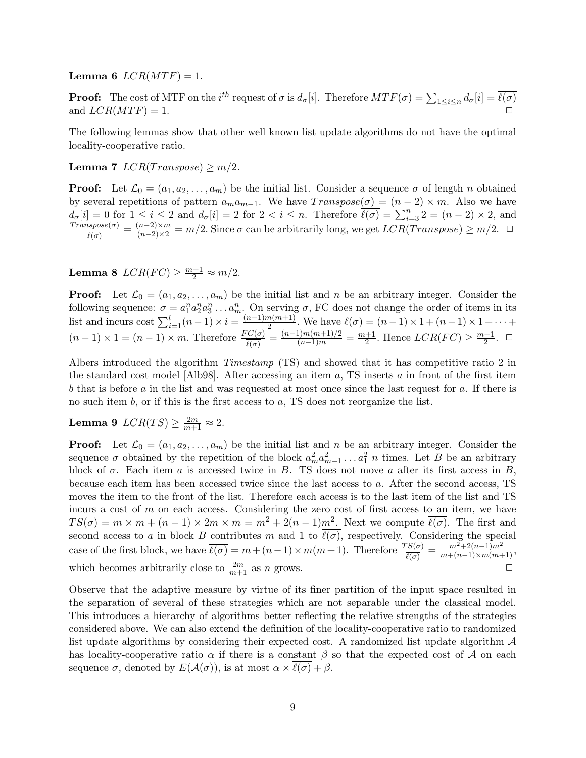Lemma 6  $LCR(MTF) = 1$ .

**Proof:** The cost of MTF on the  $i^{th}$  request of  $\sigma$  is  $d_{\sigma}[i]$ . Therefore  $MTF(\sigma) = \sum_{1 \leq i \leq n} d_{\sigma}[i] = \overline{\ell(\sigma)}$ and  $LCR(MTF) = 1.$ 

The following lemmas show that other well known list update algorithms do not have the optimal locality-cooperative ratio.

Lemma 7  $LCR(Transpose) \geq m/2$ .

**Proof:** Let  $\mathcal{L}_0 = (a_1, a_2, \dots, a_m)$  be the initial list. Consider a sequence  $\sigma$  of length n obtained by several repetitions of pattern  $a_ma_{m-1}$ . We have  $Transpose(\sigma) = (n-2) \times m$ . Also we have  $d_{\sigma}[i] = 0$  for  $1 \leq i \leq 2$  and  $d_{\sigma}[i] = 2$  for  $2 < i \leq n$ . Therefore  $\overline{\ell(\sigma)} = \sum_{i=3}^{n} 2 = (n-2) \times 2$ , and  $Transpose(\sigma) = (n-2) \times m$  and  $\overline{\ell}$  Since  $\sigma$  can be arbitrarily large we get  $LCP(T_{\text{max,meas}}) > m/2$ .  $\frac{(n-2)(n-2)}{\ell(\sigma)} = \frac{(n-2)\times m}{(n-2)\times 2} = m/2.$  Since  $\sigma$  can be arbitrarily long, we get  $LCR(Transpose) \geq m/2.$   $\Box$ 

**Lemma 8**  $LCR(FC) \geq \frac{m+1}{2} \approx m/2$ .

**Proof:** Let  $\mathcal{L}_0 = (a_1, a_2, \dots, a_m)$  be the initial list and n be an arbitrary integer. Consider the following sequence:  $\sigma = a_1^n a_2^n a_3^n \dots a_m^n$ . On serving  $\sigma$ , FC does not change the order of items in its list and incurs cost  $\sum_{i=1}^{l} (n-1) \times i = \frac{(n-1)m(m+1)}{2}$  $\frac{n(m+1)}{2}$ . We have  $\ell(\sigma) = (n-1) \times 1 + (n-1) \times 1 + \cdots$  $(n-1) \times 1 = (n-1) \times m$ . Therefore  $\frac{FC(\sigma)}{\ell(\sigma)} = \frac{(n-1)m(m+1)/2}{(n-1)m} = \frac{m+1}{2}$  $\frac{+1}{2}$ . Hence  $LCR(FC) \geq \frac{m+1}{2}$  $\frac{+1}{2}$ .  $\Box$ 

Albers introduced the algorithm Timestamp (TS) and showed that it has competitive ratio 2 in the standard cost model [Alb98]. After accessing an item  $a$ , TS inserts  $a$  in front of the first item b that is before a in the list and was requested at most once since the last request for a. If there is no such item  $b$ , or if this is the first access to  $a$ , TS does not reorganize the list.

# Lemma 9  $LCR(TS) \geq \frac{2m}{m+1} \approx 2$ .

**Proof:** Let  $\mathcal{L}_0 = (a_1, a_2, \dots, a_m)$  be the initial list and n be an arbitrary integer. Consider the sequence  $\sigma$  obtained by the repetition of the block  $a_m^2 a_{m-1}^2 \dots a_1^2 n$  times. Let B be an arbitrary block of  $\sigma$ . Each item a is accessed twice in B. TS does not move a after its first access in B, because each item has been accessed twice since the last access to a. After the second access, TS moves the item to the front of the list. Therefore each access is to the last item of the list and TS incurs a cost of  $m$  on each access. Considering the zero cost of first access to an item, we have  $TS(\sigma) = m \times m + (n-1) \times 2m \times m = m^2 + 2(n-1)m^2$ . Next we compute  $\overline{\ell(\sigma)}$ . The first and second access to a in block B contributes m and 1 to  $\ell(\sigma)$ , respectively. Considering the special case of the first block, we have  $\overline{\ell(\sigma)} = m + (n-1) \times m(m+1)$ . Therefore  $\frac{TS(\sigma)}{\ell(\sigma)} = \frac{m^2 + 2(n-1)m^2}{m + (n-1) \times m(m+1)}$ , which becomes arbitrarily close to  $\frac{2m}{m+1}$  as n grows.

Observe that the adaptive measure by virtue of its finer partition of the input space resulted in the separation of several of these strategies which are not separable under the classical model. This introduces a hierarchy of algorithms better reflecting the relative strengths of the strategies considered above. We can also extend the definition of the locality-cooperative ratio to randomized list update algorithms by considering their expected cost. A randomized list update algorithm  $\mathcal A$ has locality-cooperative ratio  $\alpha$  if there is a constant  $\beta$  so that the expected cost of  $\mathcal A$  on each sequence  $\sigma$ , denoted by  $E(\mathcal{A}(\sigma))$ , is at most  $\alpha \times \ell(\sigma) + \beta$ .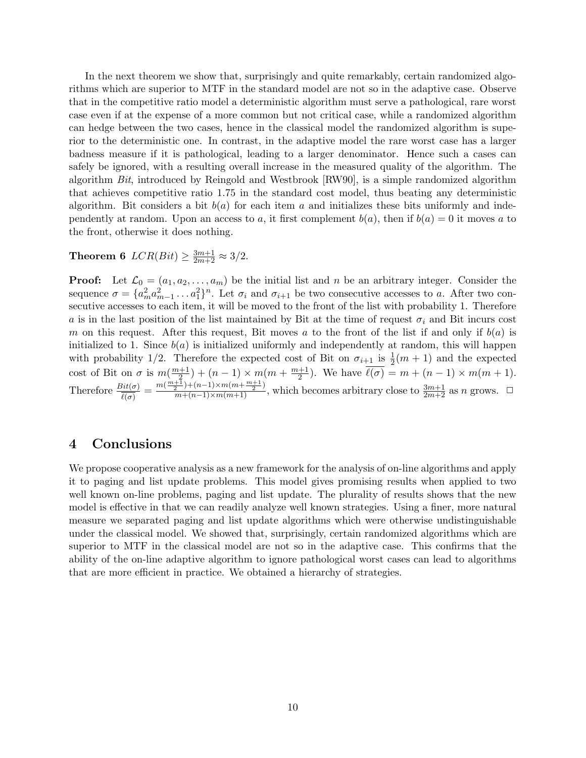In the next theorem we show that, surprisingly and quite remarkably, certain randomized algorithms which are superior to MTF in the standard model are not so in the adaptive case. Observe that in the competitive ratio model a deterministic algorithm must serve a pathological, rare worst case even if at the expense of a more common but not critical case, while a randomized algorithm can hedge between the two cases, hence in the classical model the randomized algorithm is superior to the deterministic one. In contrast, in the adaptive model the rare worst case has a larger badness measure if it is pathological, leading to a larger denominator. Hence such a cases can safely be ignored, with a resulting overall increase in the measured quality of the algorithm. The algorithm Bit, introduced by Reingold and Westbrook [RW90], is a simple randomized algorithm that achieves competitive ratio 1.75 in the standard cost model, thus beating any deterministic algorithm. Bit considers a bit  $b(a)$  for each item a and initializes these bits uniformly and independently at random. Upon an access to a, it first complement  $b(a)$ , then if  $b(a) = 0$  it moves a to the front, otherwise it does nothing.

# **Theorem 6**  $LCR(Bit) \ge \frac{3m+1}{2m+2} \approx 3/2$ .

**Proof:** Let  $\mathcal{L}_0 = (a_1, a_2, \dots, a_m)$  be the initial list and n be an arbitrary integer. Consider the sequence  $\sigma = \{a_m^2 a_{m-1}^2 \dots a_1^2\}^n$ . Let  $\sigma_i$  and  $\sigma_{i+1}$  be two consecutive accesses to a. After two consecutive accesses to each item, it will be moved to the front of the list with probability 1. Therefore a is in the last position of the list maintained by Bit at the time of request  $\sigma_i$  and Bit incurs cost m on this request. After this request, Bit moves a to the front of the list if and only if  $b(a)$  is initialized to 1. Since  $b(a)$  is initialized uniformly and independently at random, this will happen with probability 1/2. Therefore the expected cost of Bit on  $\sigma_{i+1}$  is  $\frac{1}{2}(m+1)$  and the expected cost of Bit on  $\sigma$  is  $m(\frac{m+1}{2})$  $\frac{+1}{2}$ ) + (n - 1) × m(m +  $\frac{m+1}{2}$  $\frac{+1}{2}$ ). We have  $\ell(\sigma) = m + (n - 1) \times m(m + 1)$ . Therefore  $\frac{Bit(\sigma)}{\ell(\sigma)} = \frac{m(\frac{m+1}{2})+(n-1)\times m(m+\frac{m+1}{2})}{m+(n-1)\times m(m+1)}$ , which becomes arbitrary close to  $\frac{3m+1}{2m+2}$  as n grows.  $\Box$ 

## 4 Conclusions

We propose cooperative analysis as a new framework for the analysis of on-line algorithms and apply it to paging and list update problems. This model gives promising results when applied to two well known on-line problems, paging and list update. The plurality of results shows that the new model is effective in that we can readily analyze well known strategies. Using a finer, more natural measure we separated paging and list update algorithms which were otherwise undistinguishable under the classical model. We showed that, surprisingly, certain randomized algorithms which are superior to MTF in the classical model are not so in the adaptive case. This confirms that the ability of the on-line adaptive algorithm to ignore pathological worst cases can lead to algorithms that are more efficient in practice. We obtained a hierarchy of strategies.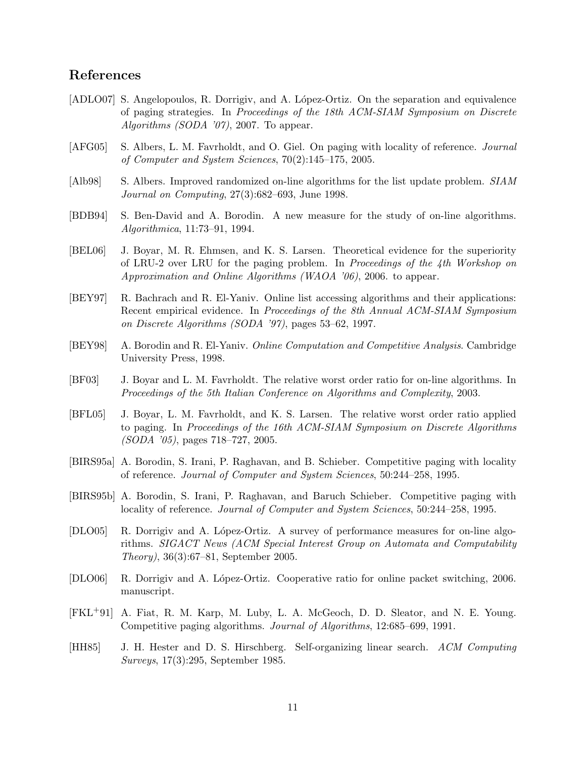## References

- [ADLO07] S. Angelopoulos, R. Dorrigiv, and A. López-Ortiz. On the separation and equivalence of paging strategies. In Proceedings of the 18th ACM-SIAM Symposium on Discrete Algorithms (SODA '07), 2007. To appear.
- [AFG05] S. Albers, L. M. Favrholdt, and O. Giel. On paging with locality of reference. *Journal* of Computer and System Sciences, 70(2):145–175, 2005.
- [Alb98] S. Albers. Improved randomized on-line algorithms for the list update problem. SIAM Journal on Computing, 27(3):682–693, June 1998.
- [BDB94] S. Ben-David and A. Borodin. A new measure for the study of on-line algorithms. Algorithmica, 11:73–91, 1994.
- [BEL06] J. Boyar, M. R. Ehmsen, and K. S. Larsen. Theoretical evidence for the superiority of LRU-2 over LRU for the paging problem. In Proceedings of the 4th Workshop on Approximation and Online Algorithms (WAOA '06), 2006. to appear.
- [BEY97] R. Bachrach and R. El-Yaniv. Online list accessing algorithms and their applications: Recent empirical evidence. In Proceedings of the 8th Annual ACM-SIAM Symposium on Discrete Algorithms (SODA '97), pages 53–62, 1997.
- [BEY98] A. Borodin and R. El-Yaniv. Online Computation and Competitive Analysis. Cambridge University Press, 1998.
- [BF03] J. Boyar and L. M. Favrholdt. The relative worst order ratio for on-line algorithms. In Proceedings of the 5th Italian Conference on Algorithms and Complexity, 2003.
- [BFL05] J. Boyar, L. M. Favrholdt, and K. S. Larsen. The relative worst order ratio applied to paging. In Proceedings of the 16th ACM-SIAM Symposium on Discrete Algorithms (SODA '05), pages 718–727, 2005.
- [BIRS95a] A. Borodin, S. Irani, P. Raghavan, and B. Schieber. Competitive paging with locality of reference. Journal of Computer and System Sciences, 50:244–258, 1995.
- [BIRS95b] A. Borodin, S. Irani, P. Raghavan, and Baruch Schieber. Competitive paging with locality of reference. Journal of Computer and System Sciences, 50:244–258, 1995.
- [DLO05] R. Dorrigiv and A. López-Ortiz. A survey of performance measures for on-line algorithms. SIGACT News (ACM Special Interest Group on Automata and Computability Theory), 36(3):67–81, September 2005.
- [DLO06] R. Dorrigiv and A. López-Ortiz. Cooperative ratio for online packet switching, 2006. manuscript.
- [FKL+91] A. Fiat, R. M. Karp, M. Luby, L. A. McGeoch, D. D. Sleator, and N. E. Young. Competitive paging algorithms. Journal of Algorithms, 12:685–699, 1991.
- [HH85] J. H. Hester and D. S. Hirschberg. Self-organizing linear search. ACM Computing Surveys, 17(3):295, September 1985.